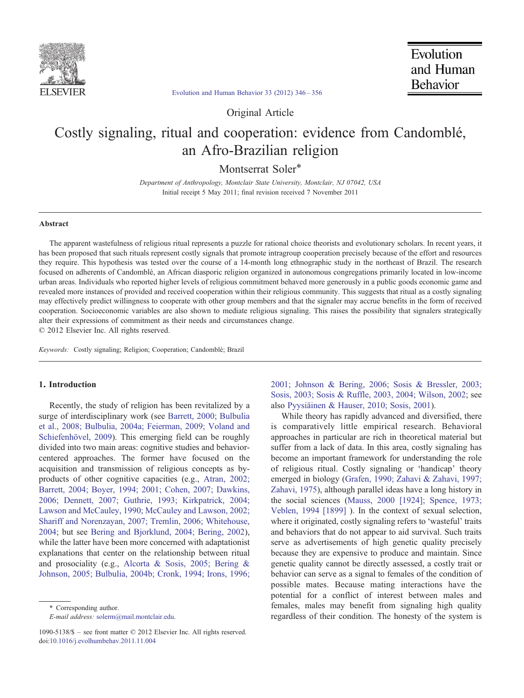

## [Evolution and Human Behavior 33 \(2012\) 346](http://dx.doi.org/10.1016/j.evolhumbehav.2011.11.004)–356

Original Article

# Costly signaling, ritual and cooperation: evidence from Candomblé, an Afro-Brazilian religion

Montserrat Soler<sup>\*</sup>

Department of Anthropology, Montclair State University, Montclair, NJ 07042, USA Initial receipt 5 May 2011; final revision received 7 November 2011

### Abstract

The apparent wastefulness of religious ritual represents a puzzle for rational choice theorists and evolutionary scholars. In recent years, it has been proposed that such rituals represent costly signals that promote intragroup cooperation precisely because of the effort and resources they require. This hypothesis was tested over the course of a 14-month long ethnographic study in the northeast of Brazil. The research focused on adherents of Candomblé, an African diasporic religion organized in autonomous congregations primarily located in low-income urban areas. Individuals who reported higher levels of religious commitment behaved more generously in a public goods economic game and revealed more instances of provided and received cooperation within their religious community. This suggests that ritual as a costly signaling may effectively predict willingness to cooperate with other group members and that the signaler may accrue benefits in the form of received cooperation. Socioeconomic variables are also shown to mediate religious signaling. This raises the possibility that signalers strategically alter their expressions of commitment as their needs and circumstances change. © 2012 Elsevier Inc. All rights reserved.

Keywords: Costly signaling; Religion; Cooperation; Candomblé; Brazil

#### 1. Introduction

Recently, the study of religion has been revitalized by a surge of interdisciplinary work (see [Barrett, 2000; Bulbulia](#page-9-0) [et al., 2008; Bulbulia, 2004a; Feierman, 2009; Voland and](#page-9-0) [Schiefenhövel, 2009\)](#page-9-0). This emerging field can be roughly divided into two main areas: cognitive studies and behaviorcentered approaches. The former have focused on the acquisition and transmission of religious concepts as byproducts of other cognitive capacities (e.g., [Atran, 2002;](#page-9-0) [Barrett, 2004; Boyer, 1994; 2001; Cohen, 2007; Dawkins,](#page-9-0) [2006; Dennett, 2007; Guthrie, 1993; Kirkpatrick, 2004;](#page-9-0) [Lawson and McCauley, 1990; McCauley and Lawson, 2002;](#page-9-0) [Shariff and Norenzayan, 2007; Tremlin, 2006; Whitehouse,](#page-9-0) [2004](#page-9-0); but see [Bering and Bjorklund, 2004; Bering, 2002](#page-9-0)), while the latter have been more concerned with adaptationist explanations that center on the relationship between ritual and prosociality (e.g., [Alcorta & Sosis, 2005; Bering &](#page-9-0) [Johnson, 2005; Bulbulia, 2004b; Cronk, 1994; Irons, 1996;](#page-9-0)

⁎ Corresponding author.

E-mail address: [solerm@mail.montclair.edu](mailto:solerm@mail.montclair.edu).

[2001; Johnson & Bering, 2006; Sosis & Bressler, 2003;](#page-9-0) [Sosis, 2003; Sosis & Ruffle, 2003, 2004; Wilson, 2002](#page-9-0); see also [Pyysiäinen & Hauser, 2010; Sosis, 2001\)](#page-10-0).

While theory has rapidly advanced and diversified, there is comparatively little empirical research. Behavioral approaches in particular are rich in theoretical material but suffer from a lack of data. In this area, costly signaling has become an important framework for understanding the role of religious ritual. Costly signaling or 'handicap' theory emerged in biology [\(Grafen, 1990; Zahavi & Zahavi, 1997;](#page-9-0) [Zahavi, 1975\)](#page-9-0), although parallel ideas have a long history in the social sciences ([Mauss, 2000 \[1924\]; Spence, 1973;](#page-10-0) [Veblen, 1994 \[1899\]](#page-10-0) ). In the context of sexual selection, where it originated, costly signaling refers to 'wasteful' traits and behaviors that do not appear to aid survival. Such traits serve as advertisements of high genetic quality precisely because they are expensive to produce and maintain. Since genetic quality cannot be directly assessed, a costly trait or behavior can serve as a signal to females of the condition of possible mates. Because mating interactions have the potential for a conflict of interest between males and females, males may benefit from signaling high quality regardless of their condition. The honesty of the system is

<sup>1090-5138/\$</sup> – see front matter © 2012 Elsevier Inc. All rights reserved. doi[:10.1016/j.evolhumbehav.2011.11.004](http://dx.doi.org/10.1016/j.evolhumbehav.2011.11.004)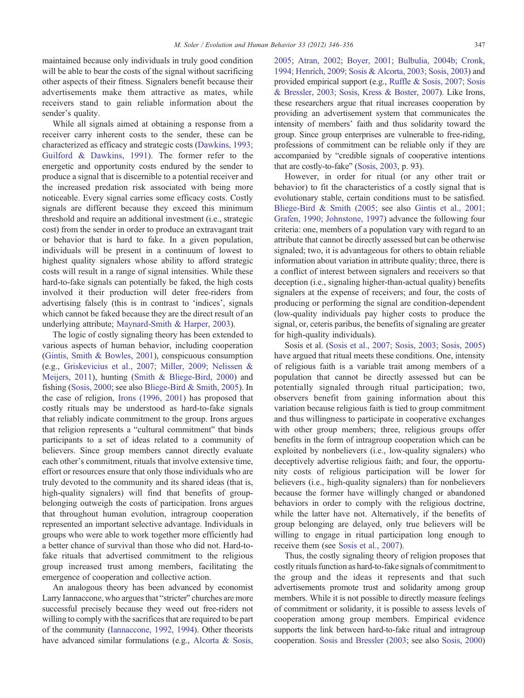maintained because only individuals in truly good condition will be able to bear the costs of the signal without sacrificing other aspects of their fitness. Signalers benefit because their advertisements make them attractive as mates, while receivers stand to gain reliable information about the sender's quality.

While all signals aimed at obtaining a response from a receiver carry inherent costs to the sender, these can be characterized as efficacy and strategic costs [\(Dawkins, 1993;](#page-9-0) [Guilford & Dawkins, 1991\)](#page-9-0). The former refer to the energetic and opportunity costs endured by the sender to produce a signal that is discernible to a potential receiver and the increased predation risk associated with being more noticeable. Every signal carries some efficacy costs. Costly signals are different because they exceed this minimum threshold and require an additional investment (i.e., strategic cost) from the sender in order to produce an extravagant trait or behavior that is hard to fake. In a given population, individuals will be present in a continuum of lowest to highest quality signalers whose ability to afford strategic costs will result in a range of signal intensities. While these hard-to-fake signals can potentially be faked, the high costs involved it their production will deter free-riders from advertising falsely (this is in contrast to 'indices', signals which cannot be faked because they are the direct result of an underlying attribute; [Maynard-Smith & Harper, 2003](#page-10-0)).

The logic of costly signaling theory has been extended to various aspects of human behavior, including cooperation [\(Gintis, Smith & Bowles, 2001](#page-9-0)), conspicuous consumption (e.g., [Griskevicius et al., 2007; Miller, 2009; Nelissen &](#page-9-0) [Meijers, 2011\)](#page-9-0), hunting [\(Smith & Bliege-Bird, 2000](#page-10-0)) and fishing ([Sosis, 2000](#page-10-0); see also [Bliege-Bird & Smith, 2005\)](#page-9-0). In the case of religion, [Irons \(1996, 2001\)](#page-10-0) has proposed that costly rituals may be understood as hard-to-fake signals that reliably indicate commitment to the group. Irons argues that religion represents a "cultural commitment" that binds participants to a set of ideas related to a community of believers. Since group members cannot directly evaluate each other's commitment, rituals that involve extensive time, effort or resources ensure that only those individuals who are truly devoted to the community and its shared ideas (that is, high-quality signalers) will find that benefits of groupbelonging outweigh the costs of participation. Irons argues that throughout human evolution, intragroup cooperation represented an important selective advantage. Individuals in groups who were able to work together more efficiently had a better chance of survival than those who did not. Hard-tofake rituals that advertised commitment to the religious group increased trust among members, facilitating the emergence of cooperation and collective action.

An analogous theory has been advanced by economist Larry Iannaccone, who argues that "stricter" churches are more successful precisely because they weed out free-riders not willing to comply with the sacrifices that are required to be part of the community [\(Iannaccone, 1992, 1994](#page-10-0)). Other theorists have advanced similar formulations (e.g., [Alcorta & Sosis,](#page-9-0) [2005; Atran, 2002; Boyer, 2001; Bulbulia, 2004b; Cronk,](#page-9-0) [1994; Henrich, 2009; Sosis & Alcorta, 2003; Sosis, 2003](#page-9-0)) and provided empirical support (e.g., [Ruffle & Sosis, 2007; Sosis](#page-10-0) [& Bressler, 2003; Sosis, Kress & Boster, 2007\)](#page-10-0). Like Irons, these researchers argue that ritual increases cooperation by providing an advertisement system that communicates the intensity of members' faith and thus solidarity toward the group. Since group enterprises are vulnerable to free-riding, professions of commitment can be reliable only if they are accompanied by "credible signals of cooperative intentions that are costly-to-fake" [\(Sosis, 2003](#page-10-0), p. 93).

However, in order for ritual (or any other trait or behavior) to fit the characteristics of a costly signal that is evolutionary stable, certain conditions must to be satisfied. [Bliege-Bird & Smith \(2005;](#page-9-0) see also [Gintis et al., 2001;](#page-9-0) [Grafen, 1990; Johnstone, 1997\)](#page-9-0) advance the following four criteria: one, members of a population vary with regard to an attribute that cannot be directly assessed but can be otherwise signaled; two, it is advantageous for others to obtain reliable information about variation in attribute quality; three, there is a conflict of interest between signalers and receivers so that deception (i.e., signaling higher-than-actual quality) benefits signalers at the expense of receivers; and four, the costs of producing or performing the signal are condition-dependent (low-quality individuals pay higher costs to produce the signal, or, ceteris paribus, the benefits of signaling are greater for high-quality individuals).

Sosis et al. ([Sosis et al., 2007; Sosis, 2003; Sosis, 2005\)](#page-10-0) have argued that ritual meets these conditions. One, intensity of religious faith is a variable trait among members of a population that cannot be directly assessed but can be potentially signaled through ritual participation; two, observers benefit from gaining information about this variation because religious faith is tied to group commitment and thus willingness to participate in cooperative exchanges with other group members; three, religious groups offer benefits in the form of intragroup cooperation which can be exploited by nonbelievers (i.e., low-quality signalers) who deceptively advertise religious faith; and four, the opportunity costs of religious participation will be lower for believers (i.e., high-quality signalers) than for nonbelievers because the former have willingly changed or abandoned behaviors in order to comply with the religious doctrine, while the latter have not. Alternatively, if the benefits of group belonging are delayed, only true believers will be willing to engage in ritual participation long enough to receive them (see [Sosis et al., 2007\)](#page-10-0).

Thus, the costly signaling theory of religion proposes that costly rituals function as hard-to-fake signals of commitment to the group and the ideas it represents and that such advertisements promote trust and solidarity among group members. While it is not possible to directly measure feelings of commitment or solidarity, it is possible to assess levels of cooperation among group members. Empirical evidence supports the link between hard-to-fake ritual and intragroup cooperation. [Sosis and Bressler \(2003;](#page-10-0) see also [Sosis, 2000\)](#page-10-0)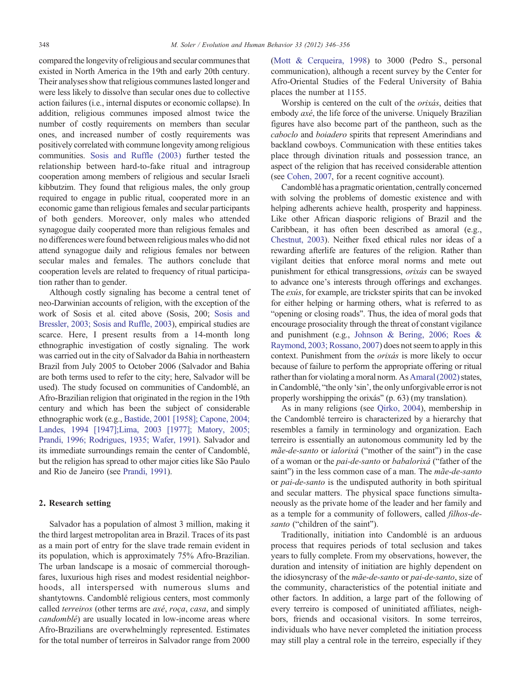compared the longevity of religious and secular communes that existed in North America in the 19th and early 20th century. Their analyses show that religious communes lasted longer and were less likely to dissolve than secular ones due to collective action failures (i.e., internal disputes or economic collapse). In addition, religious communes imposed almost twice the number of costly requirements on members than secular ones, and increased number of costly requirements was positively correlated with commune longevity among religious communities. [Sosis and Ruffle \(2003\)](#page-10-0) further tested the relationship between hard-to-fake ritual and intragroup cooperation among members of religious and secular Israeli kibbutzim. They found that religious males, the only group required to engage in public ritual, cooperated more in an economic game than religious females and secular participants of both genders. Moreover, only males who attended synagogue daily cooperated more than religious females and no differences were found between religious males who did not attend synagogue daily and religious females nor between secular males and females. The authors conclude that cooperation levels are related to frequency of ritual participation rather than to gender.

Although costly signaling has become a central tenet of neo-Darwinian accounts of religion, with the exception of the work of Sosis et al. cited above (Sosis, 200; [Sosis and](#page-10-0) [Bressler, 2003; Sosis and Ruffle, 2003\)](#page-10-0), empirical studies are scarce. Here, I present results from a 14-month long ethnographic investigation of costly signaling. The work was carried out in the city of Salvador da Bahia in northeastern Brazil from July 2005 to October 2006 (Salvador and Bahia are both terms used to refer to the city; here, Salvador will be used). The study focused on communities of Candomblé, an Afro-Brazilian religion that originated in the region in the 19th century and which has been the subject of considerable ethnographic work (e.g., [Bastide, 2001 \[1958\]; Capone, 2004;](#page-9-0) [Landes, 1994 \[1947\];Lima, 2003 \[1977\]; Matory, 2005;](#page-9-0) [Prandi, 1996; Rodrigues, 1935; Wafer, 1991](#page-9-0)). Salvador and its immediate surroundings remain the center of Candomblé, but the religion has spread to other major cities like São Paulo and Rio de Janeiro (see [Prandi, 1991\)](#page-10-0).

## 2. Research setting

Salvador has a population of almost 3 million, making it the third largest metropolitan area in Brazil. Traces of its past as a main port of entry for the slave trade remain evident in its population, which is approximately 75% Afro-Brazilian. The urban landscape is a mosaic of commercial thoroughfares, luxurious high rises and modest residential neighborhoods, all interspersed with numerous slums and shantytowns. Candomblé religious centers, most commonly called terreiros (other terms are axé, roça, casa, and simply candomblé) are usually located in low-income areas where Afro-Brazilians are overwhelmingly represented. Estimates for the total number of terreiros in Salvador range from 2000

[\(Mott & Cerqueira, 1998](#page-10-0)) to 3000 (Pedro S., personal communication), although a recent survey by the Center for Afro-Oriental Studies of the Federal University of Bahia places the number at 1155.

Worship is centered on the cult of the orixás, deities that embody axé, the life force of the universe. Uniquely Brazilian figures have also become part of the pantheon, such as the caboclo and boiadero spirits that represent Amerindians and backland cowboys. Communication with these entities takes place through divination rituals and possession trance, an aspect of the religion that has received considerable attention (see [Cohen, 2007,](#page-9-0) for a recent cognitive account).

Candomblé has a pragmatic orientation, centrally concerned with solving the problems of domestic existence and with helping adherents achieve health, prosperity and happiness. Like other African diasporic religions of Brazil and the Caribbean, it has often been described as amoral (e.g., [Chestnut, 2003\)](#page-9-0). Neither fixed ethical rules nor ideas of a rewarding afterlife are features of the religion. Rather than vigilant deities that enforce moral norms and mete out punishment for ethical transgressions, orixás can be swayed to advance one's interests through offerings and exchanges. The exús, for example, are trickster spirits that can be invoked for either helping or harming others, what is referred to as "opening or closing roads". Thus, the idea of moral gods that encourage prosociality through the threat of constant vigilance and punishment (e.g., [Johnson & Bering, 2006; Roes &](#page-10-0) [Raymond, 2003; Rossano, 2007\)](#page-10-0) does not seem to apply in this context. Punishment from the orixás is more likely to occur because of failure to perform the appropriate offering or ritual rather than for violating a moral norm. As [Amaral \(2002\)](#page-9-0) states, in Candomblé, "the only 'sin', the only unforgivable error is not properly worshipping the orixás" (p. 63) (my translation).

As in many religions (see [Qirko, 2004\)](#page-10-0), membership in the Candomblé terreiro is characterized by a hierarchy that resembles a family in terminology and organization. Each terreiro is essentially an autonomous community led by the mãe-de-santo or ialorixá ("mother of the saint") in the case of a woman or the pai-de-santo or babalorixá ("father of the saint") in the less common case of a man. The *mãe-de-santo* or *pai-de-santo* is the undisputed authority in both spiritual and secular matters. The physical space functions simultaneously as the private home of the leader and her family and as a temple for a community of followers, called filhos-desanto ("children of the saint").

Traditionally, initiation into Candomblé is an arduous process that requires periods of total seclusion and takes years to fully complete. From my observations, however, the duration and intensity of initiation are highly dependent on the idiosyncrasy of the mãe-de-santo or pai-de-santo, size of the community, characteristics of the potential initiate and other factors. In addition, a large part of the following of every terreiro is composed of uninitiated affiliates, neighbors, friends and occasional visitors. In some terreiros, individuals who have never completed the initiation process may still play a central role in the terreiro, especially if they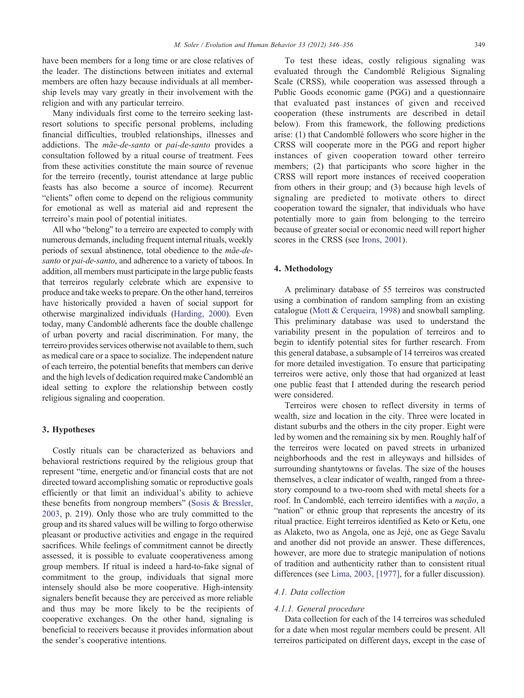have been members for a long time or are close relatives of the leader. The distinctions between initiates and external members are often hazy because individuals at all membership levels may vary greatly in their involvement with the religion and with any particular terreiro.

Many individuals first come to the terreiro seeking lastresort solutions to specific personal problems, including financial difficulties, troubled relationships, illnesses and addictions. The mãe-de-santo or pai-de-santo provides a consultation followed by a ritual course of treatment. Fees from these activities constitute the main source of revenue for the terreiro (recently, tourist attendance at large public feasts has also become a source of income). Recurrent "clients" often come to depend on the religious community for emotional as well as material aid and represent the terreiro's main pool of potential initiates.

All who "belong" to a terreiro are expected to comply with numerous demands, including frequent internal rituals, weekly periods of sexual abstinence, total obedience to the mãe-desanto or pai-de-santo, and adherence to a variety of taboos. In addition, all members must participate in the large public feasts that terreiros regularly celebrate which are expensive to produce and take weeks to prepare. On the other hand, terreiros have historically provided a haven of social support for otherwise marginalized individuals [\(Harding, 2000](#page-9-0)). Even today, many Candomblé adherents face the double challenge of urban poverty and racial discrimination. For many, the terreiro provides services otherwise not available to them, such as medical care or a space to socialize. The independent nature of each terreiro, the potential benefits that members can derive and the high levels of dedication required make Candomblé an ideal setting to explore the relationship between costly religious signaling and cooperation.

#### 3. Hypotheses

Costly rituals can be characterized as behaviors and behavioral restrictions required by the religious group that represent "time, energetic and/or financial costs that are not directed toward accomplishing somatic or reproductive goals efficiently or that limit an individual's ability to achieve these benefits from nongroup members" ([Sosis & Bressler,](#page-10-0) [2003,](#page-10-0) p. 219). Only those who are truly committed to the group and its shared values will be willing to forgo otherwise pleasant or productive activities and engage in the required sacrifices. While feelings of commitment cannot be directly assessed, it is possible to evaluate cooperativeness among group members. If ritual is indeed a hard-to-fake signal of commitment to the group, individuals that signal more intensely should also be more cooperative. High-intensity signalers benefit because they are perceived as more reliable and thus may be more likely to be the recipients of cooperative exchanges. On the other hand, signaling is beneficial to receivers because it provides information about the sender's cooperative intentions.

To test these ideas, costly religious signaling was evaluated through the Candomblé Religious Signaling Scale (CRSS), while cooperation was assessed through a Public Goods economic game (PGG) and a questionnaire that evaluated past instances of given and received cooperation (these instruments are described in detail below). From this framework, the following predictions arise: (1) that Candomblé followers who score higher in the CRSS will cooperate more in the PGG and report higher instances of given cooperation toward other terreiro members; (2) that participants who score higher in the CRSS will report more instances of received cooperation from others in their group; and (3) because high levels of signaling are predicted to motivate others to direct cooperation toward the signaler, that individuals who have potentially more to gain from belonging to the terreiro because of greater social or economic need will report higher scores in the CRSS (see [Irons, 2001](#page-10-0)).

#### 4. Methodology

A preliminary database of 55 terreiros was constructed using a combination of random sampling from an existing catalogue [\(Mott & Cerqueira, 1998](#page-10-0)) and snowball sampling. This preliminary database was used to understand the variability present in the population of terreiros and to begin to identify potential sites for further research. From this general database, a subsample of 14 terreiros was created for more detailed investigation. To ensure that participating terreiros were active, only those that had organized at least one public feast that I attended during the research period were considered.

Terreiros were chosen to reflect diversity in terms of wealth, size and location in the city. Three were located in distant suburbs and the others in the city proper. Eight were led by women and the remaining six by men. Roughly half of the terreiros were located on paved streets in urbanized neighborhoods and the rest in alleyways and hillsides of surrounding shantytowns or favelas. The size of the houses themselves, a clear indicator of wealth, ranged from a threestory compound to a two-room shed with metal sheets for a roof. In Candomblé, each terreiro identifies with a nação, a "nation" or ethnic group that represents the ancestry of its ritual practice. Eight terreiros identified as Keto or Ketu, one as Alaketo, two as Angola, one as Jejé, one as Gege Savalu and another did not provide an answer. These differences, however, are more due to strategic manipulation of notions of tradition and authenticity rather than to consistent ritual differences (see [Lima, 2003, \[1977\],](#page-10-0) for a fuller discussion).

#### 4.1. Data collection

#### 4.1.1. General procedure

Data collection for each of the 14 terreiros was scheduled for a date when most regular members could be present. All terreiros participated on different days, except in the case of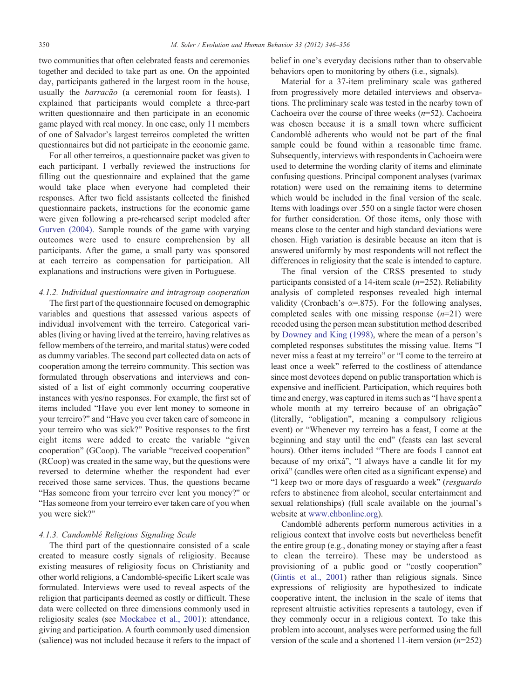two communities that often celebrated feasts and ceremonies together and decided to take part as one. On the appointed day, participants gathered in the largest room in the house, usually the barracão (a ceremonial room for feasts). I explained that participants would complete a three-part written questionnaire and then participate in an economic game played with real money. In one case, only 11 members of one of Salvador's largest terreiros completed the written questionnaires but did not participate in the economic game.

For all other terreiros, a questionnaire packet was given to each participant. I verbally reviewed the instructions for filling out the questionnaire and explained that the game would take place when everyone had completed their responses. After two field assistants collected the finished questionnaire packets, instructions for the economic game were given following a pre-rehearsed script modeled after [Gurven \(2004\)](#page-9-0). Sample rounds of the game with varying outcomes were used to ensure comprehension by all participants. After the game, a small party was sponsored at each terreiro as compensation for participation. All explanations and instructions were given in Portuguese.

## 4.1.2. Individual questionnaire and intragroup cooperation

The first part of the questionnaire focused on demographic variables and questions that assessed various aspects of individual involvement with the terreiro. Categorical variables (living or having lived at the terreiro, having relatives as fellow members of the terreiro, and marital status) were coded as dummy variables. The second part collected data on acts of cooperation among the terreiro community. This section was formulated through observations and interviews and consisted of a list of eight commonly occurring cooperative instances with yes/no responses. For example, the first set of items included "Have you ever lent money to someone in your terreiro?" and "Have you ever taken care of someone in your terreiro who was sick?" Positive responses to the first eight items were added to create the variable "given cooperation" (GCoop). The variable "received cooperation" (RCoop) was created in the same way, but the questions were reversed to determine whether the respondent had ever received those same services. Thus, the questions became "Has someone from your terreiro ever lent you money?" or "Has someone from your terreiro ever taken care of you when you were sick?"

#### 4.1.3. Candomblé Religious Signaling Scale

The third part of the questionnaire consisted of a scale created to measure costly signals of religiosity. Because existing measures of religiosity focus on Christianity and other world religions, a Candomblé-specific Likert scale was formulated. Interviews were used to reveal aspects of the religion that participants deemed as costly or difficult. These data were collected on three dimensions commonly used in religiosity scales (see [Mockabee et al., 2001](#page-10-0)): attendance, giving and participation. A fourth commonly used dimension (salience) was not included because it refers to the impact of belief in one's everyday decisions rather than to observable behaviors open to monitoring by others (i.e., signals).

Material for a 37-item preliminary scale was gathered from progressively more detailed interviews and observations. The preliminary scale was tested in the nearby town of Cachoeira over the course of three weeks  $(n=52)$ . Cachoeira was chosen because it is a small town where sufficient Candomblé adherents who would not be part of the final sample could be found within a reasonable time frame. Subsequently, interviews with respondents in Cachoeira were used to determine the wording clarity of items and eliminate confusing questions. Principal component analyses (varimax rotation) were used on the remaining items to determine which would be included in the final version of the scale. Items with loadings over .550 on a single factor were chosen for further consideration. Of those items, only those with means close to the center and high standard deviations were chosen. High variation is desirable because an item that is answered uniformly by most respondents will not reflect the differences in religiosity that the scale is intended to capture.

The final version of the CRSS presented to study participants consisted of a 14-item scale  $(n=252)$ . Reliability analysis of completed responses revealed high internal validity (Cronbach's  $\alpha = .875$ ). For the following analyses, completed scales with one missing response  $(n=21)$  were recoded using the person mean substitution method described by [Downey and King \(1998\),](#page-9-0) where the mean of a person's completed responses substitutes the missing value. Items "I never miss a feast at my terreiro" or "I come to the terreiro at least once a week" referred to the costliness of attendance since most devotees depend on public transportation which is expensive and inefficient. Participation, which requires both time and energy, was captured in items such as "I have spent a whole month at my terreiro because of an obrigação" (literally, "obligation", meaning a compulsory religious event) or "Whenever my terreiro has a feast, I come at the beginning and stay until the end" (feasts can last several hours). Other items included "There are foods I cannot eat because of my orixá", "I always have a candle lit for my orixá" (candles were often cited as a significant expense) and "I keep two or more days of resguardo a week" (resguardo refers to abstinence from alcohol, secular entertainment and sexual relationships) (full scale available on the journal's website at [www.ehbonline.org](http://www.ehbonline.org)).

Candomblé adherents perform numerous activities in a religious context that involve costs but nevertheless benefit the entire group (e.g., donating money or staying after a feast to clean the terreiro). These may be understood as provisioning of a public good or "costly cooperation" [\(Gintis et al., 2001\)](#page-9-0) rather than religious signals. Since expressions of religiosity are hypothesized to indicate cooperative intent, the inclusion in the scale of items that represent altruistic activities represents a tautology, even if they commonly occur in a religious context. To take this problem into account, analyses were performed using the full version of the scale and a shortened 11-item version  $(n=252)$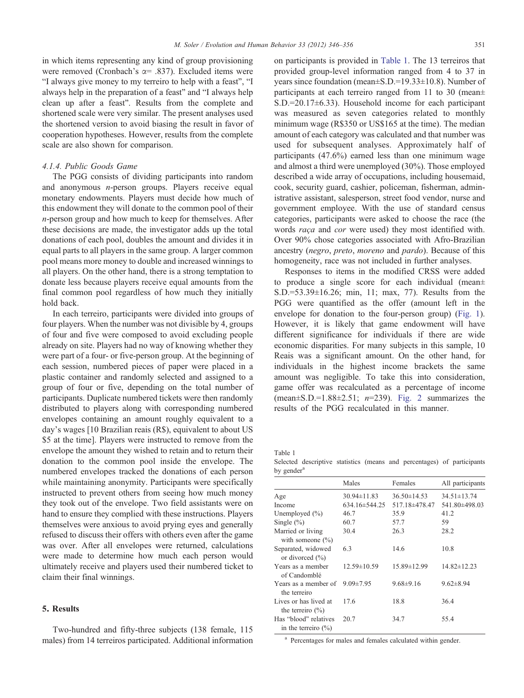in which items representing any kind of group provisioning were removed (Cronbach's  $\alpha$ = .837). Excluded items were "I always give money to my terreiro to help with a feast", "I always help in the preparation of a feast" and "I always help clean up after a feast". Results from the complete and shortened scale were very similar. The present analyses used the shortened version to avoid biasing the result in favor of cooperation hypotheses. However, results from the complete scale are also shown for comparison.

#### 4.1.4. Public Goods Game

The PGG consists of dividing participants into random and anonymous n-person groups. Players receive equal monetary endowments. Players must decide how much of this endowment they will donate to the common pool of their n-person group and how much to keep for themselves. After these decisions are made, the investigator adds up the total donations of each pool, doubles the amount and divides it in equal parts to all players in the same group. A larger common pool means more money to double and increased winnings to all players. On the other hand, there is a strong temptation to donate less because players receive equal amounts from the final common pool regardless of how much they initially hold back.

In each terreiro, participants were divided into groups of four players. When the number was not divisible by 4, groups of four and five were composed to avoid excluding people already on site. Players had no way of knowing whether they were part of a four- or five-person group. At the beginning of each session, numbered pieces of paper were placed in a plastic container and randomly selected and assigned to a group of four or five, depending on the total number of participants. Duplicate numbered tickets were then randomly distributed to players along with corresponding numbered envelopes containing an amount roughly equivalent to a day's wages [10 Brazilian reais (R\$), equivalent to about US \$5 at the time]. Players were instructed to remove from the envelope the amount they wished to retain and to return their donation to the common pool inside the envelope. The numbered envelopes tracked the donations of each person while maintaining anonymity. Participants were specifically instructed to prevent others from seeing how much money they took out of the envelope. Two field assistants were on hand to ensure they complied with these instructions. Players themselves were anxious to avoid prying eyes and generally refused to discuss their offers with others even after the game was over. After all envelopes were returned, calculations were made to determine how much each person would ultimately receive and players used their numbered ticket to claim their final winnings.

#### 5. Results

Two-hundred and fifty-three subjects (138 female, 115 males) from 14 terreiros participated. Additional information on participants is provided in Table 1. The 13 terreiros that provided group-level information ranged from 4 to 37 in years since foundation (mean±S.D.=19.33±10.8). Number of participants at each terreiro ranged from 11 to 30 (mean± S.D.=20.17±6.33). Household income for each participant was measured as seven categories related to monthly minimum wage (R\$350 or US\$165 at the time). The median amount of each category was calculated and that number was used for subsequent analyses. Approximately half of participants (47.6%) earned less than one minimum wage and almost a third were unemployed (30%). Those employed described a wide array of occupations, including housemaid, cook, security guard, cashier, policeman, fisherman, administrative assistant, salesperson, street food vendor, nurse and government employee. With the use of standard census categories, participants were asked to choose the race (the words raça and cor were used) they most identified with. Over 90% chose categories associated with Afro-Brazilian ancestry (negro, preto, moreno and pardo). Because of this homogeneity, race was not included in further analyses.

Responses to items in the modified CRSS were added to produce a single score for each individual (mean± S.D.=53.39±16.26; min, 11; max, 77). Results from the PGG were quantified as the offer (amount left in the envelope for donation to the four-person group) [\(Fig. 1](#page-6-0)). However, it is likely that game endowment will have different significance for individuals if there are wide economic disparities. For many subjects in this sample, 10 Reais was a significant amount. On the other hand, for individuals in the highest income brackets the same amount was negligible. To take this into consideration, game offer was recalculated as a percentage of income (mean $\pm$ S.D.=1.88 $\pm$ 2.51; *n*=239). [Fig. 2](#page-6-0) summarizes the results of the PGG recalculated in this manner.

Table 1 Selected descriptive statistics (means and percentages) of participants by gender<sup>a</sup>

|                                                              | Males               | Females           | All participants  |
|--------------------------------------------------------------|---------------------|-------------------|-------------------|
| Age                                                          | $30.94 \pm 11.83$   | $36.50 \pm 14.53$ | $34.51 \pm 13.74$ |
| Income                                                       | $634.16 \pm 544.25$ | 517.18±478.47     | 541.80±498.03     |
| Unemployed $(\% )$                                           | 46.7                | 35.9              | 41.2              |
| Single $(\% )$                                               | 60.7                | 57.7              | 59                |
| Married or living<br>with someone $(\% )$                    | 30.4                | 26.3              | 28.2              |
| Separated, widowed<br>or divorced $\left(\frac{0}{0}\right)$ | 6.3                 | 14.6              | 10.8              |
| Years as a member<br>of Candomblé                            | $12.59 \pm 10.59$   | $15.89 \pm 12.99$ | $14.82 \pm 12.23$ |
| Years as a member of<br>the terreiro                         | $9.09 \pm 7.95$     | $9.68\pm9.16$     | $9.62 \pm 8.94$   |
| Lives or has lived at<br>the terreiro $(\% )$                | 17.6                | 18.8              | 36.4              |
| Has "blood" relatives<br>in the terreiro $(\% )$             | 20.7                | 34.7              | 55.4              |

<sup>a</sup> Percentages for males and females calculated within gender.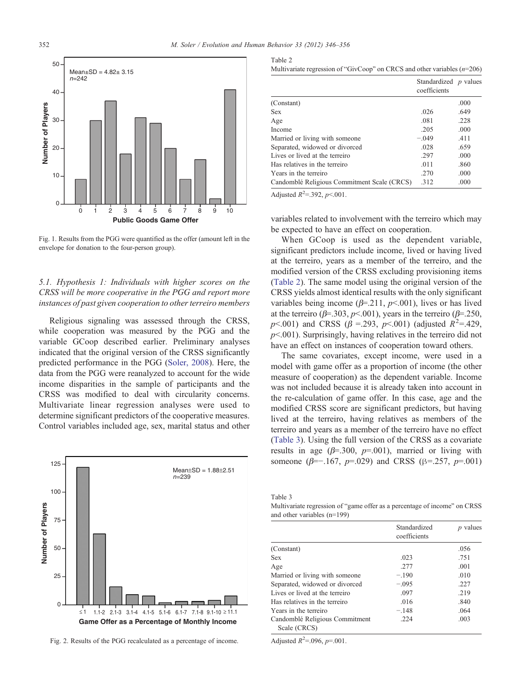<span id="page-6-0"></span>

Fig. 1. Results from the PGG were quantified as the offer (amount left in the envelope for donation to the four-person group).

# 5.1. Hypothesis 1: Individuals with higher scores on the CRSS will be more cooperative in the PGG and report more instances of past given cooperation to other terreiro members

Religious signaling was assessed through the CRSS, while cooperation was measured by the PGG and the variable GCoop described earlier. Preliminary analyses indicated that the original version of the CRSS significantly predicted performance in the PGG [\(Soler, 2008\)](#page-10-0). Here, the data from the PGG were reanalyzed to account for the wide income disparities in the sample of participants and the CRSS was modified to deal with circularity concerns. Multivariate linear regression analyses were used to determine significant predictors of the cooperative measures. Control variables included age, sex, marital status and other



Fig. 2. Results of the PGG recalculated as a percentage of income.

| Multivariate regression of "GivCoop" on CRCS and other variables $(n=206)$ |  |  |
|----------------------------------------------------------------------------|--|--|
|                                                                            |  |  |

|                                             | Standardized $p$ values<br>coefficients |      |
|---------------------------------------------|-----------------------------------------|------|
| (Constant)                                  |                                         | .000 |
| <b>Sex</b>                                  | .026                                    | .649 |
| Age                                         | .081                                    | .228 |
| Income                                      | .205                                    | .000 |
| Married or living with someone              | $-.049$                                 | .411 |
| Separated, widowed or divorced              | .028                                    | .659 |
| Lives or lived at the terreiro              | .297                                    | .000 |
| Has relatives in the terreiro               | .011                                    | .860 |
| Years in the terreiro                       | .270                                    | .000 |
| Candomblé Religious Commitment Scale (CRCS) | .312                                    | .000 |

Adjusted  $R^2 = 0.392$ ,  $p < 0.001$ .

variables related to involvement with the terreiro which may be expected to have an effect on cooperation.

When GCoop is used as the dependent variable, significant predictors include income, lived or having lived at the terreiro, years as a member of the terreiro, and the modified version of the CRSS excluding provisioning items (Table 2). The same model using the original version of the CRSS yields almost identical results with the only significant variables being income ( $\beta$ =.211,  $p$ <.001), lives or has lived at the terreiro ( $\beta$ =.303,  $p$ <.001), years in the terreiro ( $\beta$ =.250, p < 0.001) and CRSS ( $\beta$  = 293, p < 0.001) (adjusted  $R^2$  = 429,  $p<.001$ ). Surprisingly, having relatives in the terreiro did not have an effect on instances of cooperation toward others.

The same covariates, except income, were used in a model with game offer as a proportion of income (the other measure of cooperation) as the dependent variable. Income was not included because it is already taken into account in the re-calculation of game offer. In this case, age and the modified CRSS score are significant predictors, but having lived at the terreiro, having relatives as members of the terreiro and years as a member of the terreiro have no effect (Table 3). Using the full version of the CRSS as a covariate results in age ( $\beta$ =.300,  $p$ =.001), married or living with someone ( $\beta$ =−.167,  $p$ =.029) and CRSS ( $\beta$ =.257,  $p$ =.001)

Table 3

Multivariate regression of "game offer as a percentage of income" on CRSS and other variables (n=199)

|                                                | Standardized<br>coefficients | values |
|------------------------------------------------|------------------------------|--------|
| (Constant)                                     |                              | .056   |
| <b>Sex</b>                                     | .023                         | .751   |
| Age                                            | .277                         | .001   |
| Married or living with someone                 | $-.190$                      | .010   |
| Separated, widowed or divorced                 | $-.095$                      | .227   |
| Lives or lived at the terreiro                 | .097                         | .219   |
| Has relatives in the terreiro                  | .016                         | .840   |
| Years in the terreiro                          | $-.148$                      | .064   |
| Candomblé Religious Commitment<br>Scale (CRCS) | .224                         | .003   |

Adjusted  $R^2 = .096$ ,  $p = .001$ .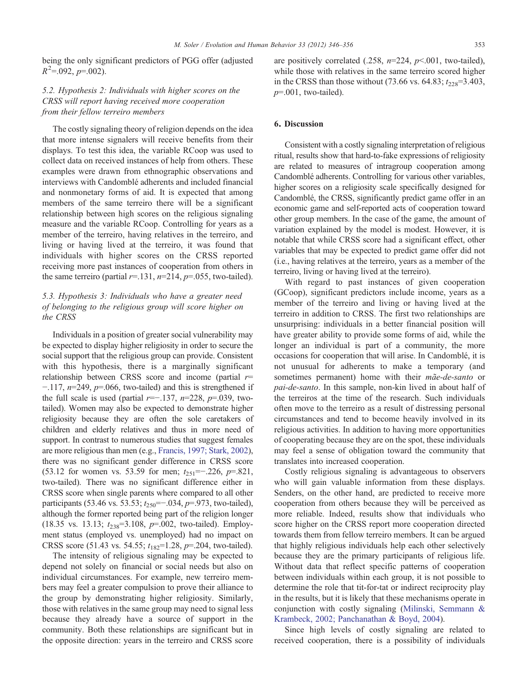being the only significant predictors of PGG offer (adjusted  $R^2 = 0.092$ ,  $p = 0.002$ ).

## 5.2. Hypothesis 2: Individuals with higher scores on the CRSS will report having received more cooperation from their fellow terreiro members

The costly signaling theory of religion depends on the idea that more intense signalers will receive benefits from their displays. To test this idea, the variable RCoop was used to collect data on received instances of help from others. These examples were drawn from ethnographic observations and interviews with Candomblé adherents and included financial and nonmonetary forms of aid. It is expected that among members of the same terreiro there will be a significant relationship between high scores on the religious signaling measure and the variable RCoop. Controlling for years as a member of the terreiro, having relatives in the terreiro, and living or having lived at the terreiro, it was found that individuals with higher scores on the CRSS reported receiving more past instances of cooperation from others in the same terreiro (partial  $r=131$ ,  $n=214$ ,  $p=.055$ , two-tailed).

# 5.3. Hypothesis 3: Individuals who have a greater need of belonging to the religious group will score higher on the CRSS

Individuals in a position of greater social vulnerability may be expected to display higher religiosity in order to secure the social support that the religious group can provide. Consistent with this hypothesis, there is a marginally significant relationship between CRSS score and income (partial  $r=$  $-117$ ,  $n=249$ ,  $p=.066$ , two-tailed) and this is strengthened if the full scale is used (partial  $r=-.137$ ,  $n=228$ ,  $p=.039$ , twotailed). Women may also be expected to demonstrate higher religiosity because they are often the sole caretakers of children and elderly relatives and thus in more need of support. In contrast to numerous studies that suggest females are more religious than men (e.g., [Francis, 1997; Stark, 2002](#page-9-0)), there was no significant gender difference in CRSS score (53.12 for women vs. 53.59 for men;  $t_{251}$ =−.226, p=.821, two-tailed). There was no significant difference either in CRSS score when single parents where compared to all other participants (53.46 vs. 53.53;  $t_{250}$ =−.034,  $p$ =.973, two-tailed), although the former reported being part of the religion longer (18.35 vs. 13.13;  $t_{238}$ =3.108,  $p$ =.002, two-tailed). Employment status (employed vs. unemployed) had no impact on CRSS score (51.43 vs. 54.55;  $t_{182}$ =1.28,  $p$ =.204, two-tailed).

The intensity of religious signaling may be expected to depend not solely on financial or social needs but also on individual circumstances. For example, new terreiro members may feel a greater compulsion to prove their alliance to the group by demonstrating higher religiosity. Similarly, those with relatives in the same group may need to signal less because they already have a source of support in the community. Both these relationships are significant but in the opposite direction: years in the terreiro and CRSS score

are positively correlated (.258,  $n=224$ ,  $p<001$ , two-tailed), while those with relatives in the same terreiro scored higher in the CRSS than those without (73.66 vs. 64.83;  $t_{228} = 3.403$ ,  $p=.001$ , two-tailed).

## 6. Discussion

Consistent with a costly signaling interpretation of religious ritual, results show that hard-to-fake expressions of religiosity are related to measures of intragroup cooperation among Candomblé adherents. Controlling for various other variables, higher scores on a religiosity scale specifically designed for Candomblé, the CRSS, significantly predict game offer in an economic game and self-reported acts of cooperation toward other group members. In the case of the game, the amount of variation explained by the model is modest. However, it is notable that while CRSS score had a significant effect, other variables that may be expected to predict game offer did not (i.e., having relatives at the terreiro, years as a member of the terreiro, living or having lived at the terreiro).

With regard to past instances of given cooperation (GCoop), significant predictors include income, years as a member of the terreiro and living or having lived at the terreiro in addition to CRSS. The first two relationships are unsurprising: individuals in a better financial position will have greater ability to provide some forms of aid, while the longer an individual is part of a community, the more occasions for cooperation that will arise. In Candomblé, it is not unusual for adherents to make a temporary (and sometimes permanent) home with their mae-de-santo or pai-de-santo. In this sample, non-kin lived in about half of the terreiros at the time of the research. Such individuals often move to the terreiro as a result of distressing personal circumstances and tend to become heavily involved in its religious activities. In addition to having more opportunities of cooperating because they are on the spot, these individuals may feel a sense of obligation toward the community that translates into increased cooperation.

Costly religious signaling is advantageous to observers who will gain valuable information from these displays. Senders, on the other hand, are predicted to receive more cooperation from others because they will be perceived as more reliable. Indeed, results show that individuals who score higher on the CRSS report more cooperation directed towards them from fellow terreiro members. It can be argued that highly religious individuals help each other selectively because they are the primary participants of religious life. Without data that reflect specific patterns of cooperation between individuals within each group, it is not possible to determine the role that tit-for-tat or indirect reciprocity play in the results, but it is likely that these mechanisms operate in conjunction with costly signaling [\(Milinski, Semmann &](#page-10-0) [Krambeck, 2002; Panchanathan & Boyd, 2004\)](#page-10-0).

Since high levels of costly signaling are related to received cooperation, there is a possibility of individuals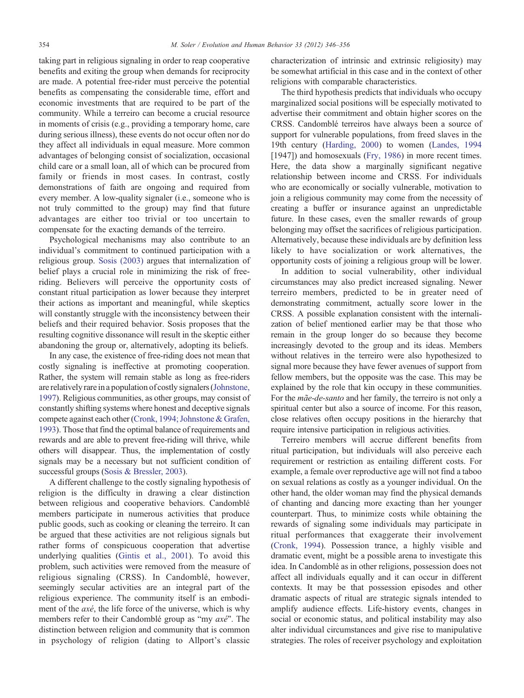taking part in religious signaling in order to reap cooperative benefits and exiting the group when demands for reciprocity are made. A potential free-rider must perceive the potential benefits as compensating the considerable time, effort and economic investments that are required to be part of the community. While a terreiro can become a crucial resource in moments of crisis (e.g., providing a temporary home, care during serious illness), these events do not occur often nor do they affect all individuals in equal measure. More common advantages of belonging consist of socialization, occasional child care or a small loan, all of which can be procured from family or friends in most cases. In contrast, costly demonstrations of faith are ongoing and required from every member. A low-quality signaler (i.e., someone who is not truly committed to the group) may find that future advantages are either too trivial or too uncertain to compensate for the exacting demands of the terreiro.

Psychological mechanisms may also contribute to an individual's commitment to continued participation with a religious group. [Sosis \(2003\)](#page-10-0) argues that internalization of belief plays a crucial role in minimizing the risk of freeriding. Believers will perceive the opportunity costs of constant ritual participation as lower because they interpret their actions as important and meaningful, while skeptics will constantly struggle with the inconsistency between their beliefs and their required behavior. Sosis proposes that the resulting cognitive dissonance will result in the skeptic either abandoning the group or, alternatively, adopting its beliefs.

In any case, the existence of free-riding does not mean that costly signaling is ineffective at promoting cooperation. Rather, the system will remain stable as long as free-riders are relatively rare in a population of costly signalers ([Johnstone,](#page-10-0) [1997\)](#page-10-0). Religious communities, as other groups, may consist of constantly shifting systems where honest and deceptive signals compete against each other ([Cronk, 1994; Johnstone & Grafen,](#page-9-0) [1993\)](#page-9-0). Those that find the optimal balance of requirements and rewards and are able to prevent free-riding will thrive, while others will disappear. Thus, the implementation of costly signals may be a necessary but not sufficient condition of successful groups [\(Sosis & Bressler, 2003](#page-10-0)).

A different challenge to the costly signaling hypothesis of religion is the difficulty in drawing a clear distinction between religious and cooperative behaviors. Candomblé members participate in numerous activities that produce public goods, such as cooking or cleaning the terreiro. It can be argued that these activities are not religious signals but rather forms of conspicuous cooperation that advertise underlying qualities [\(Gintis et al., 2001\)](#page-9-0). To avoid this problem, such activities were removed from the measure of religious signaling (CRSS). In Candomblé, however, seemingly secular activities are an integral part of the religious experience. The community itself is an embodiment of the *axé*, the life force of the universe, which is why members refer to their Candomblé group as "my axé". The distinction between religion and community that is common in psychology of religion (dating to Allport's classic

characterization of intrinsic and extrinsic religiosity) may be somewhat artificial in this case and in the context of other religions with comparable characteristics.

The third hypothesis predicts that individuals who occupy marginalized social positions will be especially motivated to advertise their commitment and obtain higher scores on the CRSS. Candomblé terreiros have always been a source of support for vulnerable populations, from freed slaves in the 19th century ([Harding, 2000](#page-9-0)) to women ([Landes, 1994](#page-10-0) [1947]) and homosexuals [\(Fry, 1986\)](#page-9-0) in more recent times. Here, the data show a marginally significant negative relationship between income and CRSS. For individuals who are economically or socially vulnerable, motivation to join a religious community may come from the necessity of creating a buffer or insurance against an unpredictable future. In these cases, even the smaller rewards of group belonging may offset the sacrifices of religious participation. Alternatively, because these individuals are by definition less likely to have socialization or work alternatives, the opportunity costs of joining a religious group will be lower.

In addition to social vulnerability, other individual circumstances may also predict increased signaling. Newer terreiro members, predicted to be in greater need of demonstrating commitment, actually score lower in the CRSS. A possible explanation consistent with the internalization of belief mentioned earlier may be that those who remain in the group longer do so because they become increasingly devoted to the group and its ideas. Members without relatives in the terreiro were also hypothesized to signal more because they have fewer avenues of support from fellow members, but the opposite was the case. This may be explained by the role that kin occupy in these communities. For the mãe-de-santo and her family, the terreiro is not only a spiritual center but also a source of income. For this reason, close relatives often occupy positions in the hierarchy that require intensive participation in religious activities.

Terreiro members will accrue different benefits from ritual participation, but individuals will also perceive each requirement or restriction as entailing different costs. For example, a female over reproductive age will not find a taboo on sexual relations as costly as a younger individual. On the other hand, the older woman may find the physical demands of chanting and dancing more exacting than her younger counterpart. Thus, to minimize costs while obtaining the rewards of signaling some individuals may participate in ritual performances that exaggerate their involvement [\(Cronk, 1994\)](#page-9-0). Possession trance, a highly visible and dramatic event, might be a possible arena to investigate this idea. In Candomblé as in other religions, possession does not affect all individuals equally and it can occur in different contexts. It may be that possession episodes and other dramatic aspects of ritual are strategic signals intended to amplify audience effects. Life-history events, changes in social or economic status, and political instability may also alter individual circumstances and give rise to manipulative strategies. The roles of receiver psychology and exploitation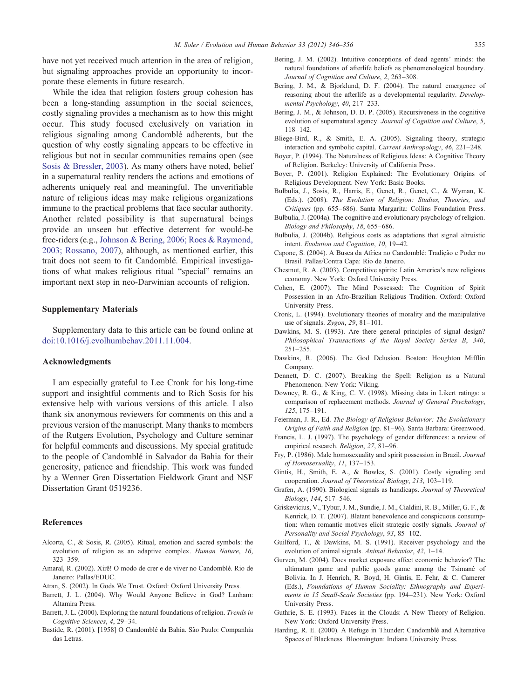<span id="page-9-0"></span>have not yet received much attention in the area of religion, but signaling approaches provide an opportunity to incorporate these elements in future research.

While the idea that religion fosters group cohesion has been a long-standing assumption in the social sciences, costly signaling provides a mechanism as to how this might occur. This study focused exclusively on variation in religious signaling among Candomblé adherents, but the question of why costly signaling appears to be effective in religious but not in secular communities remains open (see [Sosis & Bressler, 2003](#page-10-0)). As many others have noted, belief in a supernatural reality renders the actions and emotions of adherents uniquely real and meaningful. The unverifiable nature of religious ideas may make religious organizations immune to the practical problems that face secular authority. Another related possibility is that supernatural beings provide an unseen but effective deterrent for would-be free-riders (e.g., [Johnson & Bering, 2006; Roes & Raymond,](#page-10-0) [2003; Rossano, 2007\)](#page-10-0), although, as mentioned earlier, this trait does not seem to fit Candomblé. Empirical investigations of what makes religious ritual "special" remains an important next step in neo-Darwinian accounts of religion.

#### Supplementary Materials

Supplementary data to this article can be found online at [doi:10.1016/j.evolhumbehav.2011.11.004](http://dx.doi.org/10.1016/j.evolhumbehav.2011.11.004).

#### Acknowledgments

I am especially grateful to Lee Cronk for his long-time support and insightful comments and to Rich Sosis for his extensive help with various versions of this article. I also thank six anonymous reviewers for comments on this and a previous version of the manuscript. Many thanks to members of the Rutgers Evolution, Psychology and Culture seminar for helpful comments and discussions. My special gratitude to the people of Candomblé in Salvador da Bahia for their generosity, patience and friendship. This work was funded by a Wenner Gren Dissertation Fieldwork Grant and NSF Dissertation Grant 0519236.

#### References

- Alcorta, C., & Sosis, R. (2005). Ritual, emotion and sacred symbols: the evolution of religion as an adaptive complex. Human Nature, 16, 323–359.
- Amaral, R. (2002). Xirê! O modo de crer e de viver no Candomblé. Rio de Janeiro: Pallas/EDUC.
- Atran, S. (2002). In Gods We Trust. Oxford: Oxford University Press.
- Barrett, J. L. (2004). Why Would Anyone Believe in God? Lanham: Altamira Press.
- Barrett, J. L. (2000). Exploring the natural foundations of religion. Trends in Cognitive Sciences, 4, 29–34.
- Bastide, R. (2001). [1958] O Candomblé da Bahia. São Paulo: Companhia das Letras.
- Bering, J. M. (2002). Intuitive conceptions of dead agents' minds: the natural foundations of afterlife beliefs as phenomenological boundary. Journal of Cognition and Culture, 2, 263–308.
- Bering, J. M., & Bjorklund, D. F. (2004). The natural emergence of reasoning about the afterlife as a developmental regularity. Developmental Psychology, 40, 217–233.
- Bering, J. M., & Johnson, D. D. P. (2005). Recursiveness in the cognitive evolution of supernatural agency. Journal of Cognition and Culture, 5, 118–142.
- Bliege-Bird, R., & Smith, E. A. (2005). Signaling theory, strategic interaction and symbolic capital. Current Anthropology, 46, 221–248.
- Boyer, P. (1994). The Naturalness of Religious Ideas: A Cognitive Theory of Religion. Berkeley: University of California Press.
- Boyer, P. (2001). Religion Explained: The Evolutionary Origins of Religious Development. New York: Basic Books.
- Bulbulia, J., Sosis, R., Harris, E., Genet, R., Genet, C., & Wyman, K. (Eds.). (2008). The Evolution of Religion: Studies, Theories, and Critiques (pp. 655–686). Santa Margarita: Collins Foundation Press.
- Bulbulia, J. (2004a). The cognitive and evolutionary psychology of religion. Biology and Philosophy, 18, 655–686.
- Bulbulia, J. (2004b). Religious costs as adaptations that signal altruistic intent. Evolution and Cognition, 10, 19–42.
- Capone, S. (2004). A Busca da Africa no Candomblé: Tradição e Poder no Brasil. Pallas/Contra Capa: Rio de Janeiro.
- Chestnut, R. A. (2003). Competitive spirits: Latin America's new religious economy. New York: Oxford University Press.
- Cohen, E. (2007). The Mind Possessed: The Cognition of Spirit Possession in an Afro-Brazilian Religious Tradition. Oxford: Oxford University Press.
- Cronk, L. (1994). Evolutionary theories of morality and the manipulative use of signals. Zygon, 29, 81–101.
- Dawkins, M. S. (1993). Are there general principles of signal design? Philosophical Transactions of the Royal Society Series B, 340, 251–255.
- Dawkins, R. (2006). The God Delusion. Boston: Houghton Mifflin Company.
- Dennett, D. C. (2007). Breaking the Spell: Religion as a Natural Phenomenon. New York: Viking.
- Downey, R. G., & King, C. V. (1998). Missing data in Likert ratings: a comparison of replacement methods. Journal of General Psychology, 125, 175–191.
- Feierman, J. R., Ed. The Biology of Religious Behavior: The Evolutionary Origins of Faith and Religion (pp. 81–96). Santa Barbara: Greenwood.
- Francis, L. J. (1997). The psychology of gender differences: a review of empirical research. Religion, 27, 81–96.
- Fry, P. (1986). Male homosexuality and spirit possession in Brazil. Journal of Homosexuality, 11, 137–153.
- Gintis, H., Smith, E. A., & Bowles, S. (2001). Costly signaling and cooperation. Journal of Theoretical Biology, 213, 103–119.
- Grafen, A. (1990). Biological signals as handicaps. Journal of Theoretical Biology, 144, 517–546.
- Griskevicius, V., Tybur, J. M., Sundie, J. M., Cialdini, R. B., Miller, G. F., & Kenrick, D. T. (2007). Blatant benevolence and conspicuous consumption: when romantic motives elicit strategic costly signals. Journal of Personality and Social Psychology, 93, 85–102.
- Guilford, T., & Dawkins, M. S. (1991). Receiver psychology and the evolution of animal signals. Animal Behavior, 42, 1–14.
- Gurven, M. (2004). Does market exposure affect economic behavior? The ultimatum game and public goods game among the Tsimané of Bolivia. In J. Henrich, R. Boyd, H. Gintis, E. Fehr, & C. Camerer (Eds.), Foundations of Human Sociality: Ethnography and Experiments in 15 Small-Scale Societies (pp. 194–231). New York: Oxford University Press.
- Guthrie, S. E. (1993). Faces in the Clouds: A New Theory of Religion. New York: Oxford University Press.
- Harding, R. E. (2000). A Refuge in Thunder: Candomblé and Alternative Spaces of Blackness. Bloomington: Indiana University Press.